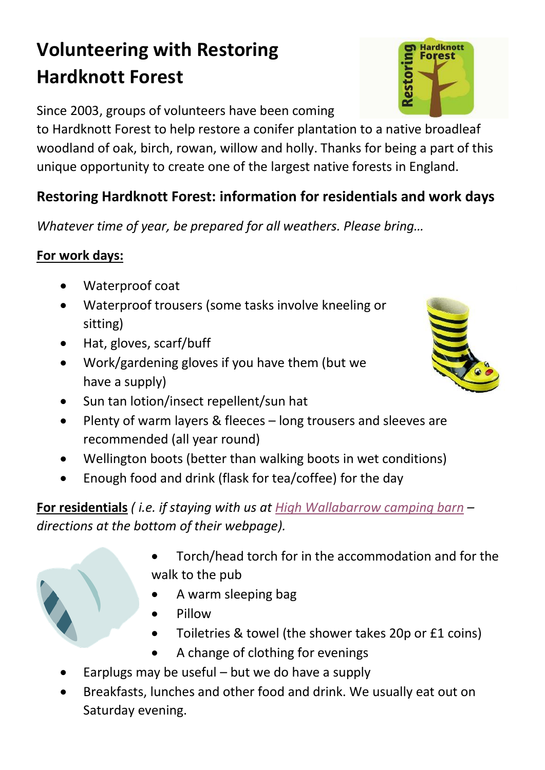## **Volunteering with Restoring Hardknott Forest**

Since 2003, groups of volunteers have been coming

to Hardknott Forest to help restore a conifer plantation to a native broadleaf woodland of oak, birch, rowan, willow and holly. Thanks for being a part of this unique opportunity to create one of the largest native forests in England.

## **Restoring Hardknott Forest: information for residentials and work days**

*Whatever time of year, be prepared for all weathers. Please bring…*

## **For work days:**

- Waterproof coat
- Waterproof trousers (some tasks involve kneeling or sitting)
- Hat, gloves, scarf/buff
- Work/gardening gloves if you have them (but we have a supply)
- Sun tan lotion/insect repellent/sun hat
- Plenty of warm layers & fleeces long trousers and sleeves are recommended (all year round)
- Wellington boots (better than walking boots in wet conditions)
- Enough food and drink (flask for tea/coffee) for the day

**For residentials** *( i.e. if staying with us a[t High Wallabarrow camping barn](http://www.wallabarrow.co.uk/phdi/p1.nsf/supppages/1723?opendocument&part=3) – directions at the bottom of their webpage).*

- Torch/head torch for in the accommodation and for the walk to the pub
	- A warm sleeping bag
	- Pillow
- Toiletries & towel (the shower takes 20p or £1 coins)
- A change of clothing for evenings
- Earplugs may be useful but we do have a supply
- Breakfasts, lunches and other food and drink. We usually eat out on Saturday evening.